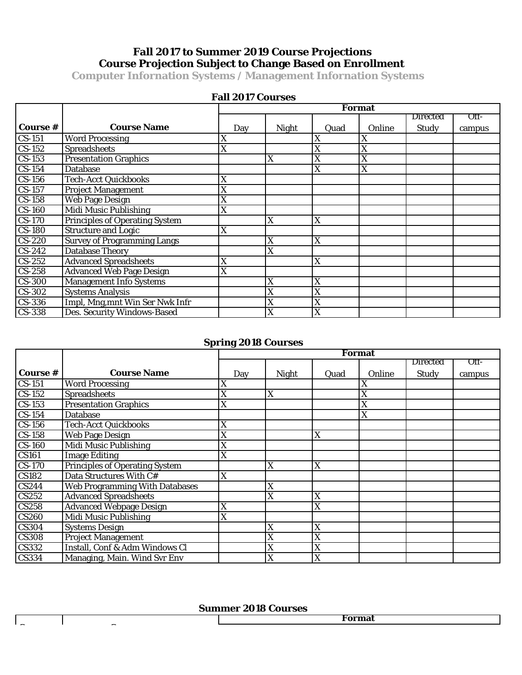# **Fall 2017 to Summer 2019 Course Projections Course Projection Subject to Change Based on Enrollment**

**Computer Infornation Systems / Management Infornation Systems**

|               |                                       | <b>Format</b> |              |      |        |              |        |  |
|---------------|---------------------------------------|---------------|--------------|------|--------|--------------|--------|--|
|               |                                       |               |              |      |        | Directed     | Off-   |  |
| Course #      | <b>Course Name</b>                    | Day           | <b>Night</b> | Quad | Online | <b>Study</b> | campus |  |
| $CS-151$      | <b>Word Processing</b>                | X             |              | X    | X      |              |        |  |
| $CS-152$      | <b>Spreadsheets</b>                   | X             |              | X    | X      |              |        |  |
| $CS-153$      | <b>Presentation Graphics</b>          |               | X            | X    | X      |              |        |  |
| $CS-154$      | <b>Database</b>                       |               |              | X    | X      |              |        |  |
| $CS-156$      | <b>Tech-Acct Quickbooks</b>           | X             |              |      |        |              |        |  |
| $CS-157$      | Project Management                    | X             |              |      |        |              |        |  |
| $CS-158$      | <b>Web Page Design</b>                | X             |              |      |        |              |        |  |
| <b>CS-160</b> | <b>Midi Music Publishing</b>          | X             |              |      |        |              |        |  |
| <b>CS-170</b> | <b>Principles of Operating System</b> |               | X            | X    |        |              |        |  |
| <b>CS-180</b> | <b>Structure and Logic</b>            | X             |              |      |        |              |        |  |
| <b>CS-220</b> | <b>Survey of Programming Langs</b>    |               | X            | X    |        |              |        |  |
| $CS-242$      | <b>Database Theory</b>                |               | X            |      |        |              |        |  |
| $CS-252$      | <b>Advanced Spreadsheets</b>          | X             |              | X    |        |              |        |  |
| $CS-258$      | <b>Advanced Web Page Design</b>       | X             |              |      |        |              |        |  |
| <b>CS-300</b> | <b>Management Info Systems</b>        |               | X            | X    |        |              |        |  |
| CS-302        | <b>Systems Analysis</b>               |               | X            | X    |        |              |        |  |
| CS-336        | Impl, Mng, mnt Win Ser Nwk Infr       |               | X            | X    |        |              |        |  |
| CS-338        | Des. Security Windows-Based           |               | X            | X    |        |              |        |  |

### **Fall 2017 Courses**

### **Spring 2018 Courses**

|               |                                       | <b>Format</b> |              |      |        |          |        |  |  |
|---------------|---------------------------------------|---------------|--------------|------|--------|----------|--------|--|--|
|               |                                       |               |              |      |        | Directed | Off-   |  |  |
| Course #      | <b>Course Name</b>                    | Day           | <b>Night</b> | Quad | Online | Study    | campus |  |  |
| $CS-151$      | <b>Word Processing</b>                | X             |              |      | X      |          |        |  |  |
| $CS-152$      | <b>Spreadsheets</b>                   | X             | $\mathbf X$  |      | X      |          |        |  |  |
| $CS-153$      | <b>Presentation Graphics</b>          | X             |              |      | X      |          |        |  |  |
| $CS-154$      | <b>Database</b>                       |               |              |      | X      |          |        |  |  |
| $CS-156$      | <b>Tech-Acct Quickbooks</b>           | X             |              |      |        |          |        |  |  |
| $CS-158$      | <b>Web Page Design</b>                | X             |              | X    |        |          |        |  |  |
| <b>CS-160</b> | Midi Music Publishing                 | X             |              |      |        |          |        |  |  |
| <b>CS161</b>  | <b>Image Editing</b>                  | X             |              |      |        |          |        |  |  |
| <b>CS-170</b> | <b>Principles of Operating System</b> |               | X            | X    |        |          |        |  |  |
| <b>CS182</b>  | Data Structures With C#               | X             |              |      |        |          |        |  |  |
| CS244         | <b>Web Programming With Databases</b> |               | X            |      |        |          |        |  |  |
| CS252         | <b>Advanced Spreadsheets</b>          |               | X            | X    |        |          |        |  |  |
| <b>CS258</b>  | <b>Advanced Webpage Design</b>        | X             |              | X    |        |          |        |  |  |
| <b>CS260</b>  | <b>Midi Music Publishing</b>          | X             |              |      |        |          |        |  |  |
| <b>CS304</b>  | <b>Systems Design</b>                 |               | X            | X    |        |          |        |  |  |
| <b>CS308</b>  | <b>Project Management</b>             |               | X            | X    |        |          |        |  |  |
| <b>CS332</b>  | Install, Conf & Adm Windows Cl        |               | X            | X    |        |          |        |  |  |
| <b>CS334</b>  | Managing, Main. Wind Svr Env          |               | X            | X    |        |          |        |  |  |

#### **Summer 2018 Courses**

**C** C C C C C C C C C C C C C C C C

**Format**